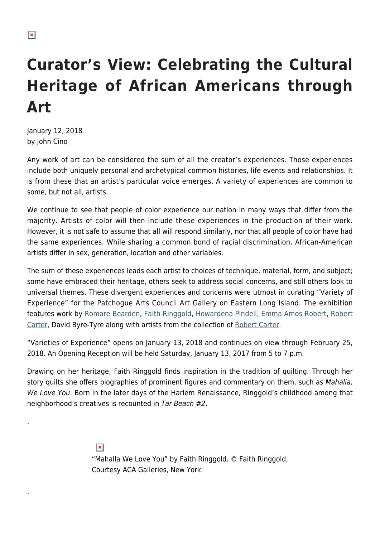.

.

## **Curator's View: Celebrating the Cultural Heritage of African Americans through Art**

January 12, 2018 by John Cino

Any work of art can be considered the sum of all the creator's experiences. Those experiences include both uniquely personal and archetypical common histories, life events and relationships. It is from these that an artist's particular voice emerges. A variety of experiences are common to some, but not all, artists.

We continue to see that people of color experience our nation in many ways that differ from the majority. Artists of color will then include these experiences in the production of their work. However, it is not safe to assume that all will respond similarly, nor that all people of color have had the same experiences. While sharing a common bond of racial discrimination, African-American artists differ in sex, generation, location and other variables.

The sum of these experiences leads each artist to choices of technique, material, form, and subject; some have embraced their heritage, others seek to address social concerns, and still others look to universal themes. These divergent experiences and concerns were utmost in curating "Variety of Experience" for the Patchogue Arts Council Art Gallery on Eastern Long Island. The exhibition features work by [Romare Bearden](https://hamptonsarthub.com/2017/12/13/reviews-art-review-exploring-romare-beardens-little-known-foray-into-abstraction/), [Faith Ringgold](http://www.faithringgold.com/), [Howardena Pindell,](https://hamptonsarthub.com/2016/12/01/art-fairs-critics-picks-five-outstanding-artworks-at-art-basel-miami-beach/) [Emma Amos Robert,](http://emmaamos.com/) [Robert](http://www.robertcarterstudio.com/) [Carter](http://www.robertcarterstudio.com/), David Byre-Tyre along with artists from the collection of [Robert Carter](http://www.robertcarterstudio.com/).

"Varieties of Experience" opens on January 13, 2018 and continues on view through February 25, 2018. An Opening Reception will be held Saturday, January 13, 2017 from 5 to 7 p.m.

Drawing on her heritage, Faith Ringgold finds inspiration in the tradition of quilting. Through her story quilts she offers biographies of prominent figures and commentary on them, such as Mahalia, We Love You. Born in the later days of the Harlem Renaissance, Ringgold's childhood among that neighborhood's creatives is recounted in Tar Beach #2.

> $\pmb{\times}$ "Mahalla We Love You" by Faith Ringgold. © Faith Ringgold, Courtesy ACA Galleries, New York.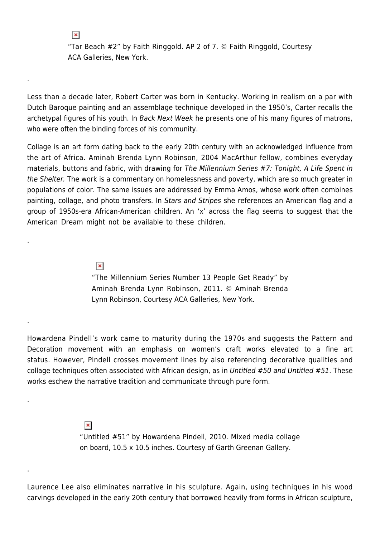"Tar Beach #2" by Faith Ringgold. AP 2 of 7. © Faith Ringgold, Courtesy ACA Galleries, New York.

Less than a decade later, Robert Carter was born in Kentucky. Working in realism on a par with Dutch Baroque painting and an assemblage technique developed in the 1950's, Carter recalls the archetypal figures of his youth. In Back Next Week he presents one of his many figures of matrons, who were often the binding forces of his community.

Collage is an art form dating back to the early 20th century with an acknowledged influence from the art of Africa. Aminah Brenda Lynn Robinson, 2004 MacArthur fellow, combines everyday materials, buttons and fabric, with drawing for The Millennium Series #7: Tonight, A Life Spent in the Shelter. The work is a commentary on homelessness and poverty, which are so much greater in populations of color. The same issues are addressed by Emma Amos, whose work often combines painting, collage, and photo transfers. In Stars and Stripes she references an American flag and a group of 1950s-era African-American children. An 'x' across the flag seems to suggest that the American Dream might not be available to these children.

> $\pmb{\times}$ "The Millennium Series Number 13 People Get Ready" by Aminah Brenda Lynn Robinson, 2011. © Aminah Brenda Lynn Robinson, Courtesy ACA Galleries, New York.

Howardena Pindell's work came to maturity during the 1970s and suggests the Pattern and Decoration movement with an emphasis on women's craft works elevated to a fine art status. However, Pindell crosses movement lines by also referencing decorative qualities and collage techniques often associated with African design, as in Untitled #50 and Untitled #51. These works eschew the narrative tradition and communicate through pure form.

 $\pmb{\times}$ 

.

 $\pmb{\times}$ 

.

.

.

.

"Untitled #51" by Howardena Pindell, 2010. Mixed media collage on board, 10.5 x 10.5 inches. Courtesy of Garth Greenan Gallery.

Laurence Lee also eliminates narrative in his sculpture. Again, using techniques in his wood carvings developed in the early 20th century that borrowed heavily from forms in African sculpture,